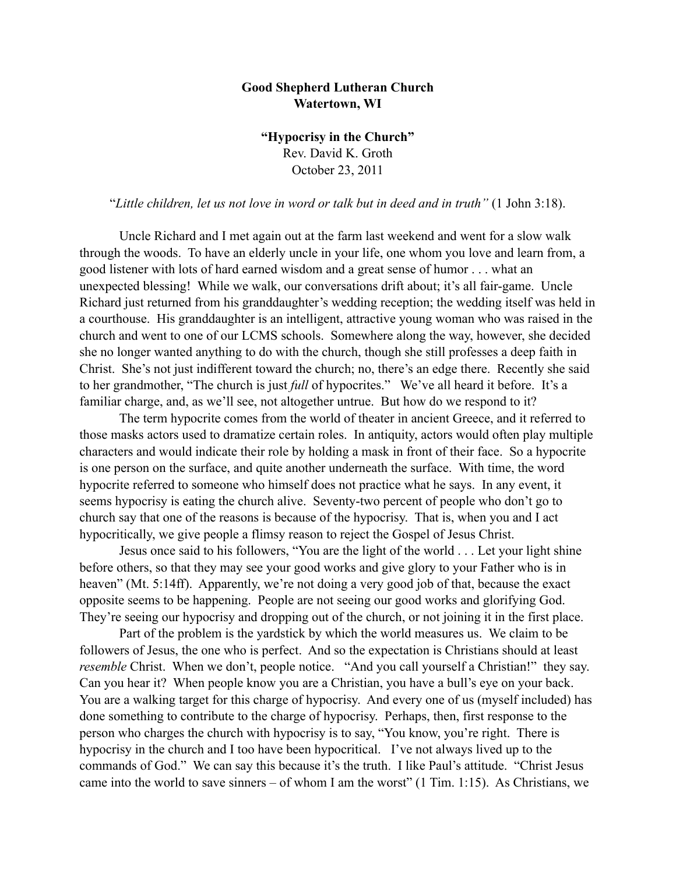## **Good Shepherd Lutheran Church Watertown, WI**

**"Hypocrisy in the Church"** Rev. David K. Groth October 23, 2011

"*Little children, let us not love in word or talk but in deed and in truth"* (1 John 3:18).

 Uncle Richard and I met again out at the farm last weekend and went for a slow walk through the woods. To have an elderly uncle in your life, one whom you love and learn from, a good listener with lots of hard earned wisdom and a great sense of humor . . . what an unexpected blessing! While we walk, our conversations drift about; it's all fair-game. Uncle Richard just returned from his granddaughter's wedding reception; the wedding itself was held in a courthouse. His granddaughter is an intelligent, attractive young woman who was raised in the church and went to one of our LCMS schools. Somewhere along the way, however, she decided she no longer wanted anything to do with the church, though she still professes a deep faith in Christ. She's not just indifferent toward the church; no, there's an edge there. Recently she said to her grandmother, "The church is just *full* of hypocrites." We've all heard it before. It's a familiar charge, and, as we'll see, not altogether untrue. But how do we respond to it?

The term hypocrite comes from the world of theater in ancient Greece, and it referred to those masks actors used to dramatize certain roles. In antiquity, actors would often play multiple characters and would indicate their role by holding a mask in front of their face. So a hypocrite is one person on the surface, and quite another underneath the surface. With time, the word hypocrite referred to someone who himself does not practice what he says. In any event, it seems hypocrisy is eating the church alive. Seventy-two percent of people who don't go to church say that one of the reasons is because of the hypocrisy. That is, when you and I act hypocritically, we give people a flimsy reason to reject the Gospel of Jesus Christ.

Jesus once said to his followers, "You are the light of the world . . . Let your light shine before others, so that they may see your good works and give glory to your Father who is in heaven" (Mt. 5:14ff). Apparently, we're not doing a very good job of that, because the exact opposite seems to be happening. People are not seeing our good works and glorifying God. They're seeing our hypocrisy and dropping out of the church, or not joining it in the first place.

Part of the problem is the yardstick by which the world measures us. We claim to be followers of Jesus, the one who is perfect. And so the expectation is Christians should at least *resemble* Christ. When we don't, people notice. "And you call yourself a Christian!" they say. Can you hear it? When people know you are a Christian, you have a bull's eye on your back. You are a walking target for this charge of hypocrisy. And every one of us (myself included) has done something to contribute to the charge of hypocrisy. Perhaps, then, first response to the person who charges the church with hypocrisy is to say, "You know, you're right. There is hypocrisy in the church and I too have been hypocritical. I've not always lived up to the commands of God." We can say this because it's the truth. I like Paul's attitude. "Christ Jesus came into the world to save sinners – of whom I am the worst"  $(1 \text{ Tim. } 1:15)$ . As Christians, we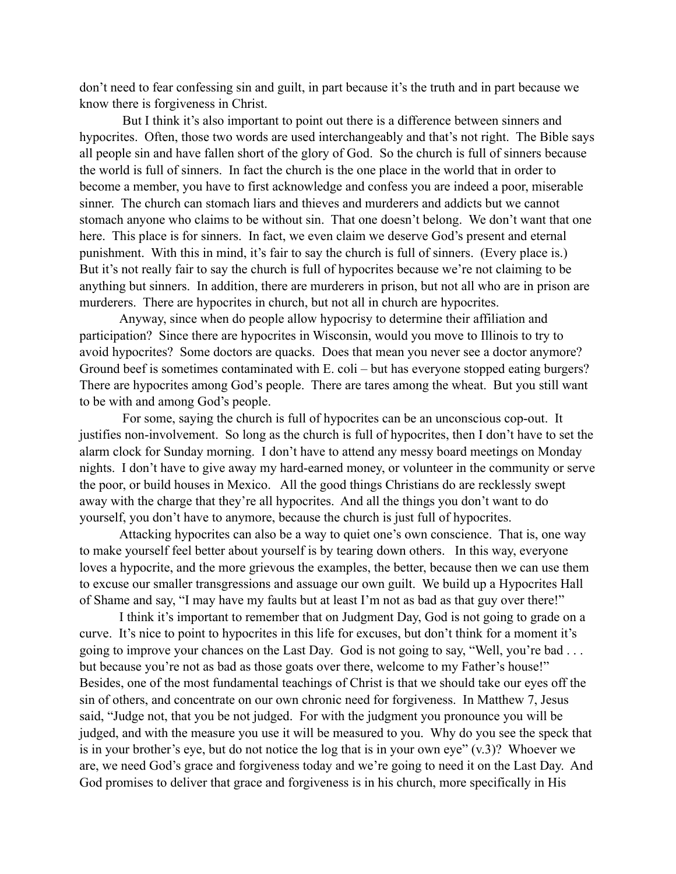don't need to fear confessing sin and guilt, in part because it's the truth and in part because we know there is forgiveness in Christ.

 But I think it's also important to point out there is a difference between sinners and hypocrites. Often, those two words are used interchangeably and that's not right. The Bible says all people sin and have fallen short of the glory of God. So the church is full of sinners because the world is full of sinners. In fact the church is the one place in the world that in order to become a member, you have to first acknowledge and confess you are indeed a poor, miserable sinner. The church can stomach liars and thieves and murderers and addicts but we cannot stomach anyone who claims to be without sin. That one doesn't belong. We don't want that one here. This place is for sinners. In fact, we even claim we deserve God's present and eternal punishment. With this in mind, it's fair to say the church is full of sinners. (Every place is.) But it's not really fair to say the church is full of hypocrites because we're not claiming to be anything but sinners. In addition, there are murderers in prison, but not all who are in prison are murderers. There are hypocrites in church, but not all in church are hypocrites.

Anyway, since when do people allow hypocrisy to determine their affiliation and participation? Since there are hypocrites in Wisconsin, would you move to Illinois to try to avoid hypocrites? Some doctors are quacks. Does that mean you never see a doctor anymore? Ground beef is sometimes contaminated with E. coli – but has everyone stopped eating burgers? There are hypocrites among God's people. There are tares among the wheat. But you still want to be with and among God's people.

 For some, saying the church is full of hypocrites can be an unconscious cop-out. It justifies non-involvement. So long as the church is full of hypocrites, then I don't have to set the alarm clock for Sunday morning. I don't have to attend any messy board meetings on Monday nights. I don't have to give away my hard-earned money, or volunteer in the community or serve the poor, or build houses in Mexico. All the good things Christians do are recklessly swept away with the charge that they're all hypocrites. And all the things you don't want to do yourself, you don't have to anymore, because the church is just full of hypocrites.

Attacking hypocrites can also be a way to quiet one's own conscience. That is, one way to make yourself feel better about yourself is by tearing down others. In this way, everyone loves a hypocrite, and the more grievous the examples, the better, because then we can use them to excuse our smaller transgressions and assuage our own guilt. We build up a Hypocrites Hall of Shame and say, "I may have my faults but at least I'm not as bad as that guy over there!"

I think it's important to remember that on Judgment Day, God is not going to grade on a curve. It's nice to point to hypocrites in this life for excuses, but don't think for a moment it's going to improve your chances on the Last Day. God is not going to say, "Well, you're bad . . . but because you're not as bad as those goats over there, welcome to my Father's house!" Besides, one of the most fundamental teachings of Christ is that we should take our eyes off the sin of others, and concentrate on our own chronic need for forgiveness. In Matthew 7, Jesus said, "Judge not, that you be not judged. For with the judgment you pronounce you will be judged, and with the measure you use it will be measured to you. Why do you see the speck that is in your brother's eye, but do not notice the log that is in your own eye" (v.3)? Whoever we are, we need God's grace and forgiveness today and we're going to need it on the Last Day. And God promises to deliver that grace and forgiveness is in his church, more specifically in His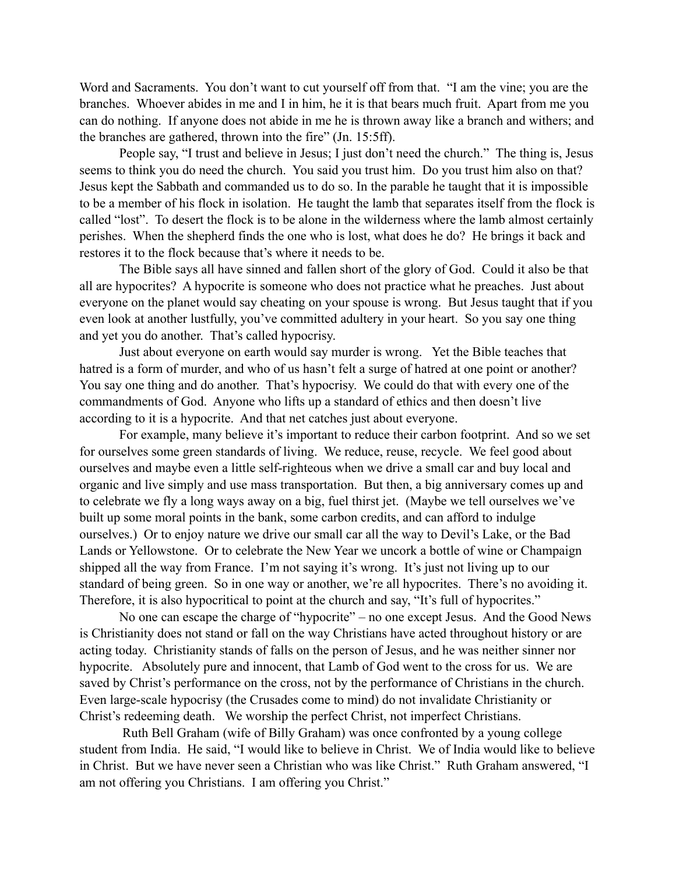Word and Sacraments. You don't want to cut yourself off from that. "I am the vine; you are the branches. Whoever abides in me and I in him, he it is that bears much fruit. Apart from me you can do nothing. If anyone does not abide in me he is thrown away like a branch and withers; and the branches are gathered, thrown into the fire" (Jn. 15:5ff).

People say, "I trust and believe in Jesus; I just don't need the church." The thing is, Jesus seems to think you do need the church. You said you trust him. Do you trust him also on that? Jesus kept the Sabbath and commanded us to do so. In the parable he taught that it is impossible to be a member of his flock in isolation. He taught the lamb that separates itself from the flock is called "lost". To desert the flock is to be alone in the wilderness where the lamb almost certainly perishes. When the shepherd finds the one who is lost, what does he do? He brings it back and restores it to the flock because that's where it needs to be.

The Bible says all have sinned and fallen short of the glory of God. Could it also be that all are hypocrites? A hypocrite is someone who does not practice what he preaches. Just about everyone on the planet would say cheating on your spouse is wrong. But Jesus taught that if you even look at another lustfully, you've committed adultery in your heart. So you say one thing and yet you do another. That's called hypocrisy.

Just about everyone on earth would say murder is wrong. Yet the Bible teaches that hatred is a form of murder, and who of us hasn't felt a surge of hatred at one point or another? You say one thing and do another. That's hypocrisy. We could do that with every one of the commandments of God. Anyone who lifts up a standard of ethics and then doesn't live according to it is a hypocrite. And that net catches just about everyone.

For example, many believe it's important to reduce their carbon footprint. And so we set for ourselves some green standards of living. We reduce, reuse, recycle. We feel good about ourselves and maybe even a little self-righteous when we drive a small car and buy local and organic and live simply and use mass transportation. But then, a big anniversary comes up and to celebrate we fly a long ways away on a big, fuel thirst jet. (Maybe we tell ourselves we've built up some moral points in the bank, some carbon credits, and can afford to indulge ourselves.) Or to enjoy nature we drive our small car all the way to Devil's Lake, or the Bad Lands or Yellowstone. Or to celebrate the New Year we uncork a bottle of wine or Champaign shipped all the way from France. I'm not saying it's wrong. It's just not living up to our standard of being green. So in one way or another, we're all hypocrites. There's no avoiding it. Therefore, it is also hypocritical to point at the church and say, "It's full of hypocrites."

 No one can escape the charge of "hypocrite" – no one except Jesus. And the Good News is Christianity does not stand or fall on the way Christians have acted throughout history or are acting today. Christianity stands of falls on the person of Jesus, and he was neither sinner nor hypocrite. Absolutely pure and innocent, that Lamb of God went to the cross for us. We are saved by Christ's performance on the cross, not by the performance of Christians in the church. Even large-scale hypocrisy (the Crusades come to mind) do not invalidate Christianity or Christ's redeeming death. We worship the perfect Christ, not imperfect Christians.

 Ruth Bell Graham (wife of Billy Graham) was once confronted by a young college student from India. He said, "I would like to believe in Christ. We of India would like to believe in Christ. But we have never seen a Christian who was like Christ." Ruth Graham answered, "I am not offering you Christians. I am offering you Christ."